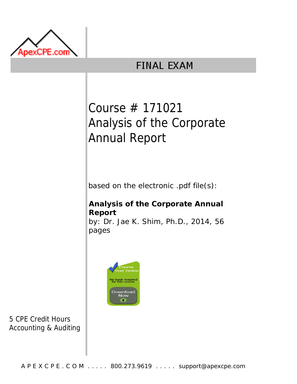

# **FINAL EXAM**

# Course # 171021 Analysis of the Corporate Annual Report

based on the electronic .pdf file(s):

# **Analysis of the Corporate Annual Report**

by: Dr. Jae K. Shim, Ph.D., 2014, 56 pages



5 CPE Credit Hours Accounting & Auditing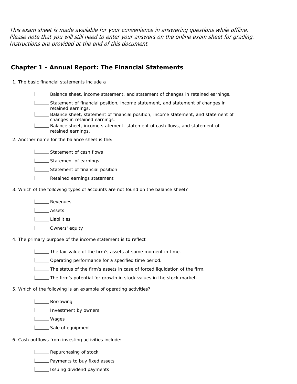This exam sheet is made available for your convenience in answering questions while offline. Please note that you will still need to enter your answers on the online exam sheet for grading. Instructions are provided at the end of this document.

### **Chapter 1 - Annual Report: The Financial Statements**

1. The basic financial statements include a

Balance sheet, income statement, and statement of changes in retained earnings.

Statement of financial position, income statement, and statement of changes in retained earnings.

Balance sheet, statement of financial position, income statement, and statement of changes in retained earnings.

Balance sheet, income statement, statement of cash flows, and statement of retained earnings.

2. Another name for the balance sheet is the:

**LETT** Statement of cash flows

**LETT** Statement of earnings

**LETT** Statement of financial position

**L\_\_\_ Retained earnings statement** 

3. Which of the following types of accounts are not found on the balance sheet?

**L**<br>Revenues

Assets

Liabilities

L**L** Owners' equity

4. The primary purpose of the income statement is to reflect

The fair value of the firm's assets at some moment in time.

**LETT** Operating performance for a specified time period.

The status of the firm's assets in case of forced liquidation of the firm.

The firm's potential for growth in stock values in the stock market.

5. Which of the following is an example of operating activities?

L**L**Borrowing

**Investment by owners** 

**Lacks** Wages

Sale of equipment

6. Cash outflows from investing activities include:

**LETT** Repurchasing of stock

**L** Payments to buy fixed assets

**Issuing dividend payments**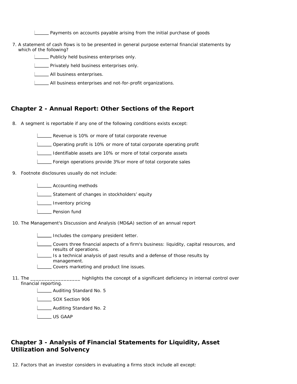Payments on accounts payable arising from the initial purchase of goods

7. A statement of cash flows is to be presented in general purpose external financial statements by which of the following?

**LETT** Publicly held business enterprises only.

**Privately held business enterprises only.** 

**LETTE** All business enterprises.

All business enterprises and not-for-profit organizations.

#### **Chapter 2 - Annual Report: Other Sections of the Report**

- 8. A segment is reportable if any one of the following conditions exists except:
	- Revenue is 10% or more of total corporate revenue
	- Operating profit is 10% or more of total corporate operating profit
	- Identifiable assets are 10% or more of total corporate assets
	- Foreign operations provide 3%or more of total corporate sales
- 9. Footnote disclosures usually do not include:

**LECOUNTING METHOOS** 

Statement of changes in stockholders' equity

L\_\_\_\_\_ Inventory pricing

- **L** Pension fund
- 10. The Management's Discussion and Analysis (MD&A) section of an annual report

Includes the company president letter.

- Covers three financial aspects of a firm's business: liquidity, capital resources, and results of operations.
- Is a technical analysis of past results and a defense of those results by management.
- Covers marketing and product line issues.
- 11. The \_\_  $T_{\text{max}}$  highlights the concept of a significant deficiency in internal control over financial reporting.

**Letter** Auditing Standard No. 5

**LEAU SOX Section 906** 

**Letter** Auditing Standard No. 2

US GAAP

#### **Chapter 3 - Analysis of Financial Statements for Liquidity, Asset Utilization and Solvency**

12. Factors that an investor considers in evaluating a firms stock include all except: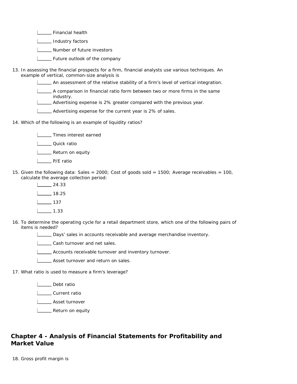Financial health

**L\_\_\_\_\_** Industry factors

**Number of future investors** 

- **L** Future outlook of the company
- 13. In assessing the financial prospects for a firm, financial analysts use various techniques. An example of vertical, common-size analysis is

An assessment of the relative stability of a firm's level of vertical integration.

A comparison in financial ratio form between two or more firms in the same industry.

Advertising expense is 2% greater compared with the previous year.

- Advertising expense for the current year is 2% of sales.
- 14. Which of the following is an example of liquidity ratios?

**LETTIMES** interest earned

- L\_\_\_\_\_ Quick ratio
- L\_\_\_\_ Return on equity
- **L** P/E ratio
- 15. Given the following data: Sales = 2000; Cost of goods sold = 1500; Average receivables = 100, calculate the average collection period:
	- 24.33  $L_{2}$  18.25  $\boxed{\phantom{1}}$  137 1.33
- 16. To determine the operating cycle for a retail department store, which one of the following pairs of items is needed?
	- Days' sales in accounts receivable and average merchandise inventory.

**LASS** Cash turnover and net sales.

- **LECOLLET** Accounts receivable turnover and inventory turnover.
- **LETTE** Asset turnover and return on sales.
- 17. What ratio is used to measure a firm's leverage?

**L** Debt ratio

L**Current ratio** 

**Looper** Asset turnover

L<sub>ound</sub> Return on equity

## **Chapter 4 - Analysis of Financial Statements for Profitability and Market Value**

18. Gross profit margin is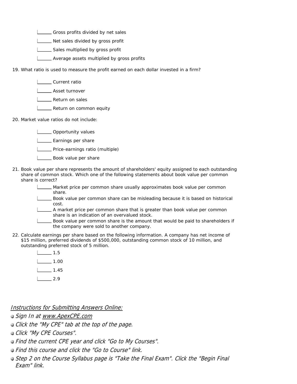Gross profits divided by net sales

L\_\_\_ Net sales divided by gross profit

Sales multiplied by gross profit

**LETTE** Average assets multiplied by gross profits

19. What ratio is used to measure the profit earned on each dollar invested in a firm?

**L** Current ratio

**LETT** Asset turnover

**LETTE** Return on sales

**LETT** Return on common equity

20. Market value ratios do not include:

Opportunity values

- **L** Earnings per share
- **LETT** Price-earnings ratio (multiple)
- **LACCO** Book value per share
- 21. Book value per share represents the amount of shareholders' equity assigned to each outstanding share of common stock. Which one of the following statements about book value per common share is correct?

Market price per common share usually approximates book value per common share.

- Book value per common share can be misleading because it is based on historical cost.
- A market price per common share that is greater than book value per common share is an indication of an overvalued stock.

Book value per common share is the amount that would be paid to shareholders if the company were sold to another company.

22. Calculate earnings per share based on the following information. A company has net income of \$15 million, preferred dividends of \$500,000, outstanding common stock of 10 million, and outstanding preferred stock of 5 million.

| 1.5  |
|------|
| 1.00 |
| 1.45 |
| 2.9  |

Instructions for Submitting Answers Online:

- Sign In at www.ApexCPE.com
- Click the "My CPE" tab at the top of the page.

**Click "My CPE Courses".** 

- Find the current CPE year and click "Go to My Courses".
- Find this course and click the "Go to Course" link.
- **Step 2 on the Course Syllabus page is "Take the Final Exam". Click the "Begin Final** Exam" link.